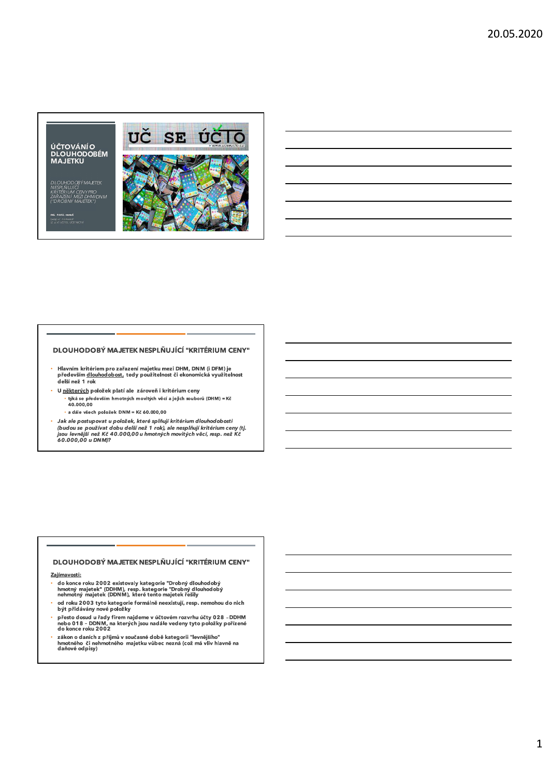# ÚČTOVÁNÍO<br>DLOUHODOBÉM<br>MAJETKU

DLOUHODOBÝ MAJETEK<br>NESPLŇUJÍCÍ<br>KRITÉRIUM CENY PRO<br>ZAŘAZENÍ MEZI DHM/DNM<br>("DROBNÝ MAJETEK")

SAŠOVÝ PORADCE<br>5\$ A VŠ UČITEL ÚČETI



### DLOUHODOBÝ MAJETEK NESPLŇUJÍCÍ "KRITÉRIUM CENY"

- Hlavním kritériem pro zařazení majetku mezi DHM, DNM (i DFM) je<br>především <u>dlouhodobost,</u> tedy použitelnost či ekonomická využitelnost<br>delší než 1 rok
- U některých položek platí ale zároveň i kritérium ceny ù.
	- · a dále všech položek DNM = Kč 60.000,00
- Jak ale postup poznan zamenie ostavuje<br>(budou se používat dobu delší než 1 rok), ale nesplňují kritérium ceny (tj.<br>jsou levnější než Kč 40.000,00 u hmotných movitých věcí, resp. než Kč<br>60.000,00 u DNM)?

### DLOUHODOBÝ MAJETEK NESPLŇUJÍCÍ "KRITÉRIUM CENY"

#### Zajímavosti:

- –<br>do konce roku 2002 existovaly kategorie "Drobný dlouhodobý<br>hmotný majetek" (DDHM), resp. kategorie "Drobný dlouhodobý<br>nehmotný majetek (DDNM), které tento majetek řešily
- od roku 2003 tyto kategorie formálně neexistují, resp. nemohou do nich být přidávány nové položky
- přesto dosud u řádeme v účtovém rozvrhu účty 028 DDHM<br>nebo 018 DDNM, na kterých jsou nadále vedeny tyto položky pořízené<br>do konce roku 2002
- e nemec vene vene prijmů v současné době kategorii "levnějšího"<br>zákon o daních z příjmů v současné době kategorii "levnějšího"<br>hmotného či nehmotného majetku vůbec nezná (což má vliv hlavně na daňové odpisy)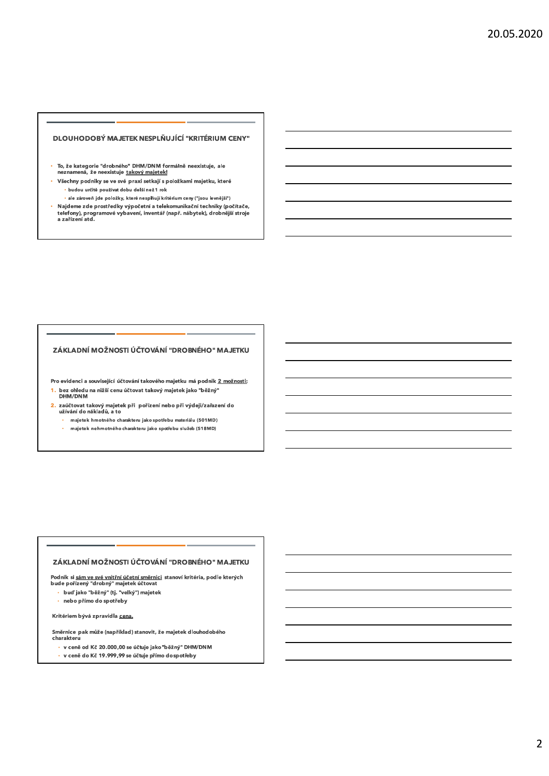### DLOUHODOBÝ MAJETEK NESPLŇUJÍCÍ "KRITÉRIUM CENY"

- · To, že kategorie "drobného" DHM/DNM formálně neexistuje, ale neznamená, že neexistuje takový majetek!
- Všechny podniky se ve své praxi setkají s položkami majetku, které · budou určitě používat dobu delší než 1 rok
- · ale zároveň jde položky, které nesplňují kritérium ceny ("jsou levnější") Najdeme zde prostředky výpočetní a telekomunikační techniky (počítače,<br>telefony), programové vybavení, inventář (např. nábytek), drobnější stroje<br>a zařízení atd. ù.

# ZÁKLADNÍ MOŽNOSTI ÚČTOVÁNÍ "DROBNÉHO" MAJETKU

Pro evidenci a související účtování takového majetku má podnik 2 možnosti: 1. bez ohledu na nižší cenu účtovat takový majetek jako "běžný"<br>DHM/DNM

- 2. zaúčtovat takový majetek při pořízení nebo při výdeji/zařazení do<br>užívání do nákladů, a to
	- · majetek hmotného charakteru jako spotřebu materiálu (501MD)
	- ä, majetek nehmotného charakteru jako spotřebu služeb (518MD)

#### ZÁKLADNÍ MOŽNOSTI ÚČTOVÁNÍ "DROBNÉHO" MAJETKU

Podnik si <u>sám ve své vnitřní účetní směrnici</u> stanoví kritéria, podle kterých<br>bude pořízený "drobný" majetek účtovat

- · buď jako "běžný" (tj. "velký") majetek
- · nebo přímo do spotřeby

Kritériem bývá zpravidla cena.

Směrnice pak může (například) stanovit, že majetek dlouhodobého charakteru

- · v ceně od Kč 20.000,00 se účtuje jako "běžný" DHM/DNM
- · v ceně do Kč 19.999,99 se účtuje přímo dospotřeby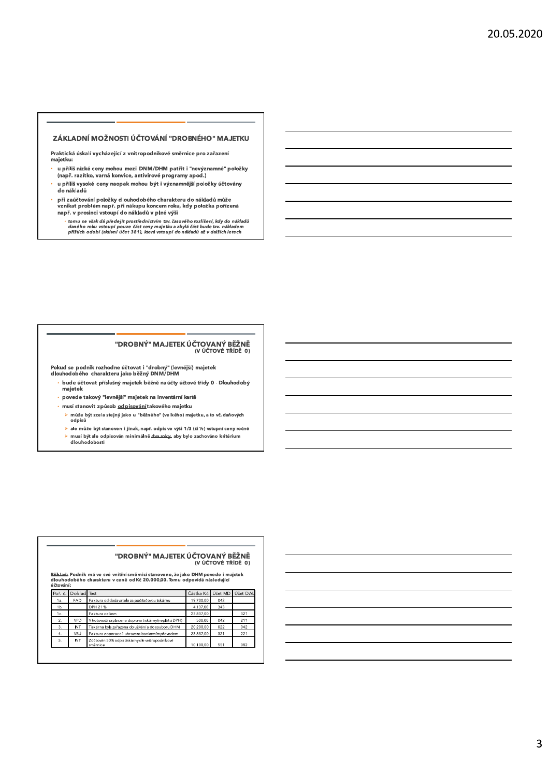#### ZÁKLADNÍ MOŽNOSTI ÚČTOVÁNÍ "DROBNÉHO" MAJETKU

Praktická úskalí vycházející z vnitropodnikové směrnice pro zařazení majetku:

- u příliš nízké ceny mohou mezi DNM/DHM patřit i "nevýznamné" položky (např. razítko, varná konvice, antivirové programy apod.)
- u příliš vysoké ceny naopak mohou být i významnější položky účtovány do nákladů
- při zaúčtování položky dlouhodobého charakteru do nákladů může<br>vznikat problém např. při nákupu koncem roku, kdy položka pořízená<br>např. v prosinci vstoupí do nákladů v plné výši
	- tomu se však dá předejít prostřednictvím tzv. časového rozlišení, kdy do nákladů<br>daného roku vstoupí pouze část ceny majetku a zbylá část bude tzv. nákladem<br>příštích odobí (aktivní účet 381), která vstoupí do nákladů až

# "DROBNÝ" MAJETEK ÚČTOVANÝ BĚŽNĚ<br>(v účtové třídě 0)

Pokud se podnik rozhodne účtovat i "drobný" (levnější) majetek<br>dlouhodobého charakteru jako běžný DNM/DHM

- · bude účtovat příslušný majetek běžně na účty účtové třídy 0 Dlouhodobý majetek
- $\cdot$  povede takový "levnější" majetek na inventární kartě
- · musí stanovit způsob odpisování takového majetku
	- ≻ může být zcela stejný jako u "běžného" (velkého) majetku, a to vč. daňových<br>odpisů
	- $\triangleright$  ale může být stanoven i jinak, např. odpis ve výši 1/3 (či ½) vstupní ceny ročně ≻ musí být ale odpisován minimálně <u>dva roky,</u> aby bylo zachováno kritérium<br>dlouhodobosti

|                                                                                                                                                                               |            |                                                            |           | (V ÚČTOVÉ TŘÍDĚ 0) |          |  |  |
|-------------------------------------------------------------------------------------------------------------------------------------------------------------------------------|------------|------------------------------------------------------------|-----------|--------------------|----------|--|--|
| Příklad: Podnik má ve své vnitřní směrnici stanoveno, že jako DHM povede i majetek<br>dlouhodobého charakteru v ceně od Kč 20.000.00. Tomu odpovídá následující<br>ú čtování: |            |                                                            |           |                    |          |  |  |
| Poř. č.                                                                                                                                                                       | Doklad     | Text                                                       | Částka Kč | Účet MD            | Účet DAL |  |  |
| 1a.                                                                                                                                                                           | <b>FAD</b> | Faktura od dodavatele za počítačovou tiskárnu              | 19.700.00 | 042                |          |  |  |
| 1b.                                                                                                                                                                           |            | DPH 21%                                                    | 4.137.00  | 343                |          |  |  |
| 1c.                                                                                                                                                                           |            | Faktura celkem                                             | 23.837.00 |                    | 321      |  |  |
| 2.                                                                                                                                                                            | VPD        | V hotovosti zaplacena doprava tiskárny (neplátci DPH)      | 500.00    | 042                | 211      |  |  |
| 3.                                                                                                                                                                            | INT        | Tiskárna byla zařazena do užívání a do souboru DHM         | 20.200.00 | 022                | 042      |  |  |
| 4.                                                                                                                                                                            | VBÚ        | Faktura z operace1 uhrazena bankovním převodem             | 23.837.00 | 321                | 221      |  |  |
| 5.                                                                                                                                                                            | INT        | Zúčtován 50% odpistiskárny dle vnitropodnikové<br>směrnice | 10.100.00 | 551                | 082      |  |  |

# "DROBNÝ" MAJETEK ÚČTOVANÝ BĚŽNĚ

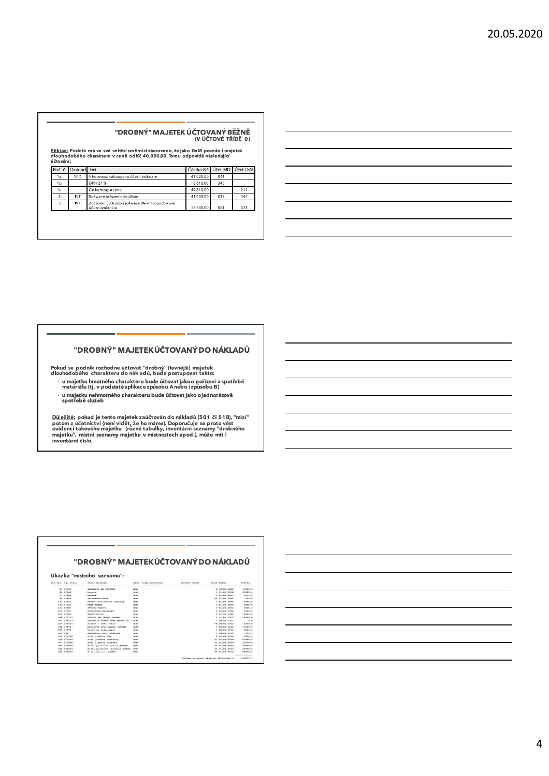# "DROBNÝ" MAJETEK ÚČTOVANÝ BĚŽNĚ<br>(v účtové třídě 0)

<u>Příklad:</u> Podnik má ve své vnitřní směrnici stanoveno, že jako DnM povede i majetek<br>dlouhodobého charakteru v ceně od Kč 40.000,00. Tomu odpovídá následující<br>účtování:

|                  | Poř. č. Doklad Text |                                                                    | Částka Kč Účet MD Účet DAL |     |     |
|------------------|---------------------|--------------------------------------------------------------------|----------------------------|-----|-----|
| 1a.              | VPD                 | V hotovosti nakoupeno účetní software                              | 41,000.00                  | 041 |     |
| 1Ь.              |                     | DPH 21%                                                            | 8.610.00                   | 343 |     |
| 1c.              |                     | Celkemzaplaceno                                                    | 49.610.00                  |     | 211 |
| $\overline{2}$ . | INT                 | Software zařazeno do užívání                                       | 41.000.00                  | 013 | 041 |
| 3.               | INT                 | Zúčtován 33% odpis software dle vnitropodníkové<br>účetní směrnice | 13.530.00                  | 551 | 073 |

### "DROBNÝ" MAJETEK ÚČTOVANÝ DO NÁKLADŮ

Pokud se podnik rozhodne účtovat "drobný" (levnější) majetek<br>dlouhodobého charakteru do nákladů, bude postupovat takto:

www.www.com/syrecommunice.zpusobu Anebo izpŭsobu B)<br>· u majetku nehmotného charakteru bude účtovat jako ojednorázově<br>spotřebě služeb

<u>Důležité:</u> pokud je tento majetek zaúčtován do nákladů (501 či 518), "mizí"<br>potom z účetnictví (není vidět, že ho máme). Doporučuje se proto vést<br>evidenci takového majetku (různé tabulky, inventární seznamy "drobného<br>maje

### "DROBNÝ" MAJETEK ÚČTOVANÝ DO NÁKLADŮ

Ukázka "místního seznamu":

| Full Akm: Toyy. 05mln<br><b><i><u><u>ADAMARAANAAAAA</u></u></i></b> | Pencil a majorithm<br>-------------------------------- | <b>CONTRACTOR</b> | Beefan, gammensverskile<br>************************** | Wiwedowi, Stale<br>----------------------------                                                                                                                                                                                | <b>Essait</b> Bakum  | Castles                                        |
|---------------------------------------------------------------------|--------------------------------------------------------|-------------------|-------------------------------------------------------|--------------------------------------------------------------------------------------------------------------------------------------------------------------------------------------------------------------------------------|----------------------|------------------------------------------------|
| <b>N3. 1/237</b>                                                    | SASOBIEER HA PRESONY                                   | <b>CITINA</b>     |                                                       |                                                                                                                                                                                                                                | 3.33.07.3000         | 13703.00                                       |
| 60 1/146                                                            | <b>CAR COMMAND</b><br>Kamara                           | DIZME             |                                                       |                                                                                                                                                                                                                                | 1.31.01.2008         | 14589.00                                       |
| 77.1/784                                                            | EXHIBIT                                                | EIGHA             |                                                       |                                                                                                                                                                                                                                | 1 21.09.2007         | 9873.00                                        |
| <b>SS 2/AS4</b>                                                     | POLEYRONA, NEAR                                        | DOM               |                                                       |                                                                                                                                                                                                                                | 10 01.08.1995        | 000.00                                         |
| 138 2/811                                                           | VOOIX assutesysel Servery                              | DIDINE            |                                                       |                                                                                                                                                                                                                                | 1 01.08.1085         | 2043.00                                        |
| $139 - 27816$                                                       | <b>CORR WEIGHT</b>                                     | <b>CrEWA</b>      |                                                       |                                                                                                                                                                                                                                | 1 01:08.1995         | 22140-04                                       |
| 184 2/821                                                           | ETOJAH BAFOJA                                          | EIDM              |                                                       |                                                                                                                                                                                                                                | 1.95.84.3004         | 2749.00                                        |
| $156 - 27833$                                                       | <b>BELIEMA MONA BELAVIGNEET</b>                        | EXCAM             |                                                       |                                                                                                                                                                                                                                | 2.05.06.1006         | 3049.00                                        |
| 182 2/688                                                           | <b>SERTH ROVER</b>                                     | <b>DIZINE</b>     |                                                       |                                                                                                                                                                                                                                | 5.01.08.1995         | 10932-00                                       |
| <b>244 2/9157</b>                                                   | VOICET HA TACKY Gub-to                                 | <b>CITINA</b>     |                                                       |                                                                                                                                                                                                                                | $8 - 34 - 03 - 0005$ | 14290.00                                       |
| 262.2/AB2                                                           | Verscheilt bestiet werke Hallen 10 1                   | CIDIA             |                                                       |                                                                                                                                                                                                                                | 1, 38, 98, 2011      | 0.00                                           |
| ET4 E/A133                                                          | Flotna - sukt -sklo                                    | <b>KINNA</b>      |                                                       |                                                                                                                                                                                                                                | 78 20.01.0012        | 1439.00                                        |
| $278$ $1/374$                                                       | Hapojovy stúl-neres 1800mm                             | proje             |                                                       |                                                                                                                                                                                                                                | 1, 28, 01, 2013      | 17414.00                                       |
| 279 1/175                                                           | Vonik na koša-nápoj                                    | <b>FOTOLS</b>     |                                                       |                                                                                                                                                                                                                                | 1 28.05.2052         | 9543.00                                        |
| 303 204                                                             | Odpadkový kož -jidelne                                 | EIGH              |                                                       |                                                                                                                                                                                                                                | 1, 24, 66, 3613      | 378.11                                         |
| 335 2/9198                                                          | stal tidelni buk                                       | Erithan           |                                                       |                                                                                                                                                                                                                                | 5, 21, 03, 2014      | 9750.00                                        |
| 336 3/8198                                                          | Stal jidelni czantovy                                  | EIEM              |                                                       |                                                                                                                                                                                                                                | 11 21.03.3014        | 31450.00                                       |
| 337 2/9209                                                          | #t61 Yidelmi limetka                                   | <b>SYLMA</b>      |                                                       |                                                                                                                                                                                                                                | 11 21.02.2014        | 23539.00                                       |
| 1388.2/8201                                                         | Simile plastové colonà muzik                           | EIGHA             |                                                       |                                                                                                                                                                                                                                | 44 31.03.2014        | 33792.00                                       |
| 339 2/8002                                                          | fiells plastova opankova mezza                         | <b>DIME</b>       |                                                       |                                                                                                                                                                                                                                | 44 21.03.2014        | 33792.00                                       |
| 340 3/8203                                                          | Endis discount LESSI                                   | <b>SYEMA</b><br>w |                                                       |                                                                                                                                                                                                                                | 30 31.03.2014        | 38000.01                                       |
|                                                                     |                                                        |                   |                                                       |                                                                                                                                                                                                                                |                      | <b><i><u><u><u><b>DOM:</b></u></u></u></i></b> |
|                                                                     |                                                        |                   |                                                       | the state of the state of the state of the state of the state of the state of the state of the state of the state of the state of the state of the state of the state of the state of the state of the state of the state of t |                      | The company's company's                        |